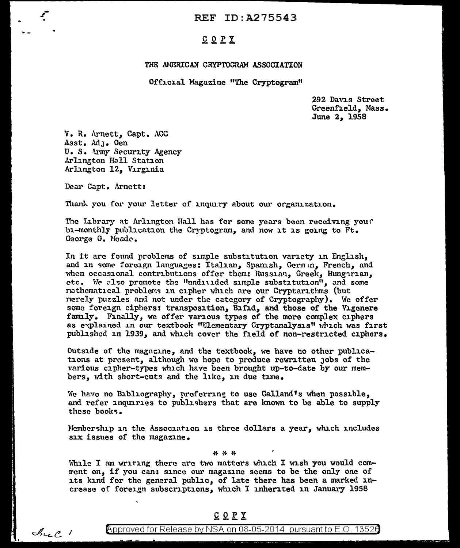REF ID:A275543

## COPY

#### THE AMERICAN CRYPTOGRAM ASSOCIATION

Official Magazine "The Cryptogram"

292 Davis Street Greenfield, Mass. June *2*1 1958

V. R. Arnett, Capt. AOC Asst. AdJ• Gen U. S. Army Security Agency Arlington Hall Station Arlington 12, Virginia

Dear Capt. Arnett:

 $\mathcal{A}_{\nu\epsilon}$   $\ell$  1

.,.\_

Thank you for your letter of inquiry about our organization.

The Library at Arlington Hall has for some years been receiving you? bi-monthly publication the Cryptogram, and now it is going to Ft. George G. Meade.

In it arc found problems of simple substitution variety in Engll.sh, and in some forcign languages: Italian, Spanish, Germin, French, and when occasional contributions offer them: Russian, Greek, Hungirian, etc. We also promote the "undivided simple substitution", and some ruthematical problems in cipher which are our Cryptarithms (but ncrely puzzles and not under the category of Cryptography). We offer some foreign ciphers: transposition, Bifid, and those of the Vigenere family. Finally, we offer various types of the more complex ciphers as explained in our textbook "Elementary Cryptanalysis" which was first published in 1939, and which cover the field of non-restricted ciphers.

Outside of the magnzine, and the textbook, we have no other publications at present, although we hope to produce rewritten Jobs of the various cipher-types which have been brought up-to-date by our members, with short-cuts and the like, in due time.

We have no Bibliography, preferring to use Galland's when possible, and refer inquiries to publishers that are known to be able to supply these books.

Membership in the Association is three dollars a year, which includes six issues of the magazine.

\*\*if.

While I am writing there are two matters which I wish you would comment on, if you can: since our magazine seems to be the only one of its kind for the general public, of late there has been a marked increase of foreign subscriptions, which I inherited in January 1958

### $C$   $Q$   $P$   $Y$

Approved for Release by NSA on 08-05-2014 pursuant to E.O. 13526